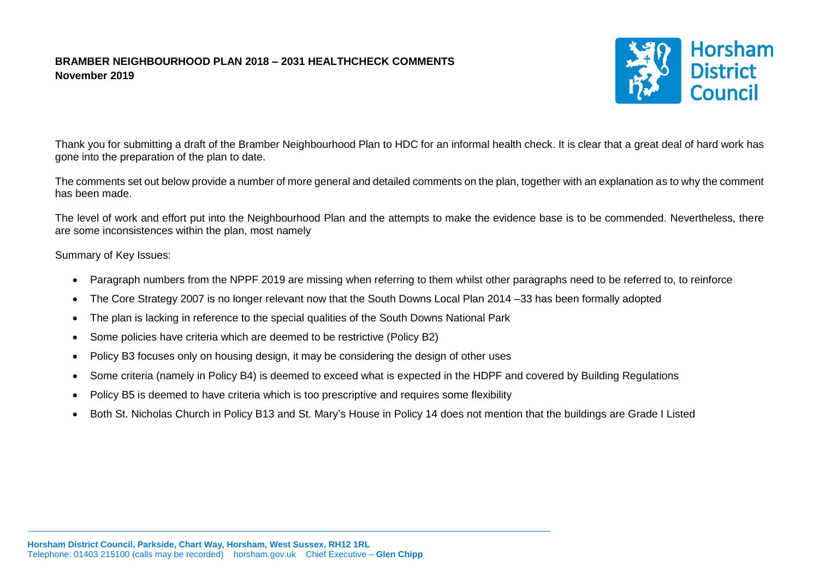## **BRAMBER NEIGHBOURHOOD PLAN 2018 – 2031 HEALTHCHECK COMMENTS November 2019**



Thank you for submitting a draft of the Bramber Neighbourhood Plan to HDC for an informal health check. It is clear that a great deal of hard work has gone into the preparation of the plan to date.

The comments set out below provide a number of more general and detailed comments on the plan, together with an explanation as to why the comment has been made.

The level of work and effort put into the Neighbourhood Plan and the attempts to make the evidence base is to be commended. Nevertheless, there are some inconsistences within the plan, most namely

## Summary of Key Issues:

- Paragraph numbers from the NPPF 2019 are missing when referring to them whilst other paragraphs need to be referred to, to reinforce
- The Core Strategy 2007 is no longer relevant now that the South Downs Local Plan 2014 –33 has been formally adopted
- The plan is lacking in reference to the special qualities of the South Downs National Park
- Some policies have criteria which are deemed to be restrictive (Policy B2)
- Policy B3 focuses only on housing design, it may be considering the design of other uses
- Some criteria (namely in Policy B4) is deemed to exceed what is expected in the HDPF and covered by Building Regulations
- Policy B5 is deemed to have criteria which is too prescriptive and requires some flexibility
- Both St. Nicholas Church in Policy B13 and St. Mary's House in Policy 14 does not mention that the buildings are Grade I Listed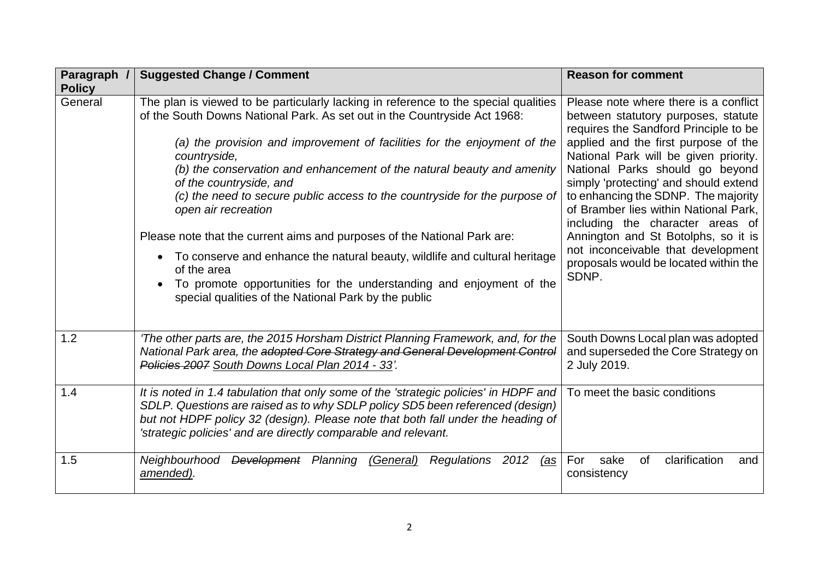| Paragraph /<br><b>Policy</b> | <b>Suggested Change / Comment</b>                                                                                                                                                                                                                                                                                                                                                                                                                                                                                                                                                                                                                                                                                                                                              | <b>Reason for comment</b>                                                                                                                                                                                                                                                                                                                                                                                                                                                                                                             |
|------------------------------|--------------------------------------------------------------------------------------------------------------------------------------------------------------------------------------------------------------------------------------------------------------------------------------------------------------------------------------------------------------------------------------------------------------------------------------------------------------------------------------------------------------------------------------------------------------------------------------------------------------------------------------------------------------------------------------------------------------------------------------------------------------------------------|---------------------------------------------------------------------------------------------------------------------------------------------------------------------------------------------------------------------------------------------------------------------------------------------------------------------------------------------------------------------------------------------------------------------------------------------------------------------------------------------------------------------------------------|
| General                      | The plan is viewed to be particularly lacking in reference to the special qualities<br>of the South Downs National Park. As set out in the Countryside Act 1968:<br>(a) the provision and improvement of facilities for the enjoyment of the<br>countryside,<br>(b) the conservation and enhancement of the natural beauty and amenity<br>of the countryside, and<br>(c) the need to secure public access to the countryside for the purpose of<br>open air recreation<br>Please note that the current aims and purposes of the National Park are:<br>To conserve and enhance the natural beauty, wildlife and cultural heritage<br>of the area<br>To promote opportunities for the understanding and enjoyment of the<br>special qualities of the National Park by the public | Please note where there is a conflict<br>between statutory purposes, statute<br>requires the Sandford Principle to be<br>applied and the first purpose of the<br>National Park will be given priority.<br>National Parks should go beyond<br>simply 'protecting' and should extend<br>to enhancing the SDNP. The majority<br>of Bramber lies within National Park,<br>including the character areas of<br>Annington and St Botolphs, so it is<br>not inconceivable that development<br>proposals would be located within the<br>SDNP. |
| 1.2                          | 'The other parts are, the 2015 Horsham District Planning Framework, and, for the<br>National Park area, the adopted Core Strategy and General Development Control<br>Policies 2007 South Downs Local Plan 2014 - 33'.                                                                                                                                                                                                                                                                                                                                                                                                                                                                                                                                                          | South Downs Local plan was adopted<br>and superseded the Core Strategy on<br>2 July 2019.                                                                                                                                                                                                                                                                                                                                                                                                                                             |
| 1.4                          | It is noted in 1.4 tabulation that only some of the 'strategic policies' in HDPF and<br>SDLP. Questions are raised as to why SDLP policy SD5 been referenced (design)<br>but not HDPF policy 32 (design). Please note that both fall under the heading of<br>'strategic policies' and are directly comparable and relevant.                                                                                                                                                                                                                                                                                                                                                                                                                                                    | To meet the basic conditions                                                                                                                                                                                                                                                                                                                                                                                                                                                                                                          |
| 1.5                          | Neighbourhood<br>Development Planning (General)<br>Regulations 2012<br>(as<br>amended).                                                                                                                                                                                                                                                                                                                                                                                                                                                                                                                                                                                                                                                                                        | clarification<br>0f<br>For<br>sake<br>and<br>consistency                                                                                                                                                                                                                                                                                                                                                                                                                                                                              |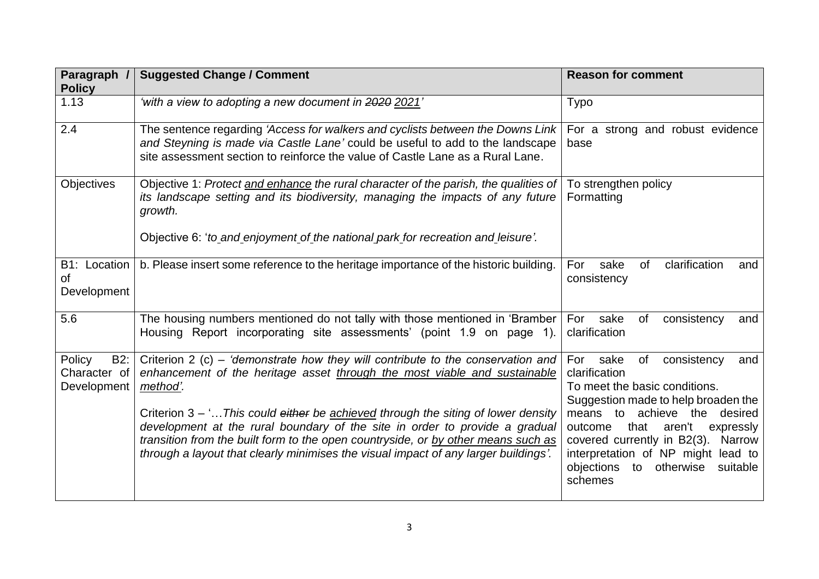| Paragraph /                                  | <b>Suggested Change / Comment</b>                                                                                                                                                                                                                                                                                                                                                                                                                                                                                          | <b>Reason for comment</b>                                                                                                                                                                                                                                                                                                                |
|----------------------------------------------|----------------------------------------------------------------------------------------------------------------------------------------------------------------------------------------------------------------------------------------------------------------------------------------------------------------------------------------------------------------------------------------------------------------------------------------------------------------------------------------------------------------------------|------------------------------------------------------------------------------------------------------------------------------------------------------------------------------------------------------------------------------------------------------------------------------------------------------------------------------------------|
| <b>Policy</b>                                |                                                                                                                                                                                                                                                                                                                                                                                                                                                                                                                            |                                                                                                                                                                                                                                                                                                                                          |
| 1.13                                         | 'with a view to adopting a new document in 2020 2021'                                                                                                                                                                                                                                                                                                                                                                                                                                                                      | <b>Typo</b>                                                                                                                                                                                                                                                                                                                              |
| 2.4                                          | The sentence regarding 'Access for walkers and cyclists between the Downs Link<br>and Steyning is made via Castle Lane' could be useful to add to the landscape<br>site assessment section to reinforce the value of Castle Lane as a Rural Lane.                                                                                                                                                                                                                                                                          | For a strong and robust evidence<br>base                                                                                                                                                                                                                                                                                                 |
| Objectives                                   | Objective 1: Protect and enhance the rural character of the parish, the qualities of<br>its landscape setting and its biodiversity, managing the impacts of any future<br>growth.<br>Objective 6: 'to and enjoyment of the national park for recreation and leisure'.                                                                                                                                                                                                                                                      | To strengthen policy<br>Formatting                                                                                                                                                                                                                                                                                                       |
| B1: Location<br><b>of</b><br>Development     | b. Please insert some reference to the heritage importance of the historic building.                                                                                                                                                                                                                                                                                                                                                                                                                                       | clarification<br>For<br>sake<br><b>of</b><br>and<br>consistency                                                                                                                                                                                                                                                                          |
| 5.6                                          | The housing numbers mentioned do not tally with those mentioned in 'Bramber                                                                                                                                                                                                                                                                                                                                                                                                                                                | For<br>sake<br>of<br>consistency<br>and                                                                                                                                                                                                                                                                                                  |
|                                              | Housing Report incorporating site assessments' (point 1.9 on page 1).                                                                                                                                                                                                                                                                                                                                                                                                                                                      | clarification                                                                                                                                                                                                                                                                                                                            |
| Policy<br>B2:<br>Character of<br>Development | Criterion 2 (c) – 'demonstrate how they will contribute to the conservation and<br>enhancement of the heritage asset through the most viable and sustainable<br>method'.<br>Criterion $3 - 1$ This could either be achieved through the siting of lower density<br>development at the rural boundary of the site in order to provide a gradual<br>transition from the built form to the open countryside, or by other means such as<br>through a layout that clearly minimises the visual impact of any larger buildings'. | For sake<br>consistency<br>of<br>and<br>clarification<br>To meet the basic conditions.<br>Suggestion made to help broaden the<br>means to achieve the<br>desired<br>that<br>aren't<br>outcome<br>expressly<br>covered currently in B2(3). Narrow<br>interpretation of NP might lead to<br>objections to otherwise<br>suitable<br>schemes |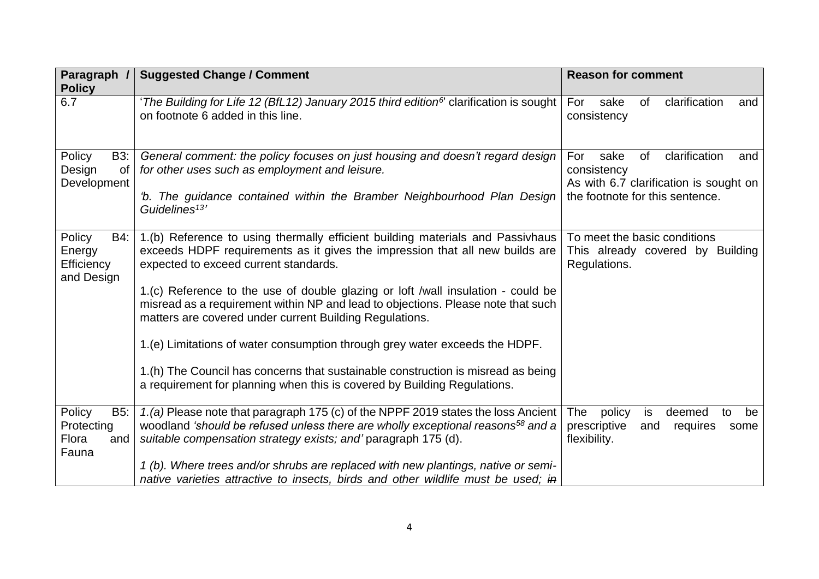| Paragraph /<br><b>Policy</b>                               | <b>Suggested Change / Comment</b>                                                                                                                                                                                                                                                                                                                                                                                                                                                                                                                                                                                                                                                         | <b>Reason for comment</b>                                                                                                             |
|------------------------------------------------------------|-------------------------------------------------------------------------------------------------------------------------------------------------------------------------------------------------------------------------------------------------------------------------------------------------------------------------------------------------------------------------------------------------------------------------------------------------------------------------------------------------------------------------------------------------------------------------------------------------------------------------------------------------------------------------------------------|---------------------------------------------------------------------------------------------------------------------------------------|
| 6.7                                                        | 'The Building for Life 12 (BfL12) January 2015 third edition <sup>6</sup> clarification is sought<br>on footnote 6 added in this line.                                                                                                                                                                                                                                                                                                                                                                                                                                                                                                                                                    | For<br>clarification<br>sake<br>0f<br>and<br>consistency                                                                              |
| Policy<br><b>B3:</b><br>Design<br>0f<br>Development        | General comment: the policy focuses on just housing and doesn't regard design<br>for other uses such as employment and leisure.<br>'b. The guidance contained within the Bramber Neighbourhood Plan Design<br>Guidelines <sup>13'</sup>                                                                                                                                                                                                                                                                                                                                                                                                                                                   | For<br>of<br>clarification<br>sake<br>and<br>consistency<br>As with 6.7 clarification is sought on<br>the footnote for this sentence. |
| Policy<br><b>B4:</b><br>Energy<br>Efficiency<br>and Design | 1.(b) Reference to using thermally efficient building materials and Passivhaus<br>exceeds HDPF requirements as it gives the impression that all new builds are<br>expected to exceed current standards.<br>1.(c) Reference to the use of double glazing or loft /wall insulation - could be<br>misread as a requirement within NP and lead to objections. Please note that such<br>matters are covered under current Building Regulations.<br>1.(e) Limitations of water consumption through grey water exceeds the HDPF.<br>1.(h) The Council has concerns that sustainable construction is misread as being<br>a requirement for planning when this is covered by Building Regulations. | To meet the basic conditions<br>This already covered by Building<br>Regulations.                                                      |
| Policy<br>B5:<br>Protecting<br>Flora<br>and<br>Fauna       | 1.(a) Please note that paragraph 175 (c) of the NPPF 2019 states the loss Ancient<br>woodland 'should be refused unless there are wholly exceptional reasons <sup>58</sup> and a<br>suitable compensation strategy exists; and' paragraph 175 (d).<br>1 (b). Where trees and/or shrubs are replaced with new plantings, native or semi-<br>native varieties attractive to insects, birds and other wildlife must be used; in                                                                                                                                                                                                                                                              | The policy<br>is<br>deemed<br>be<br>to<br>prescriptive<br>and<br>requires<br>some<br>flexibility.                                     |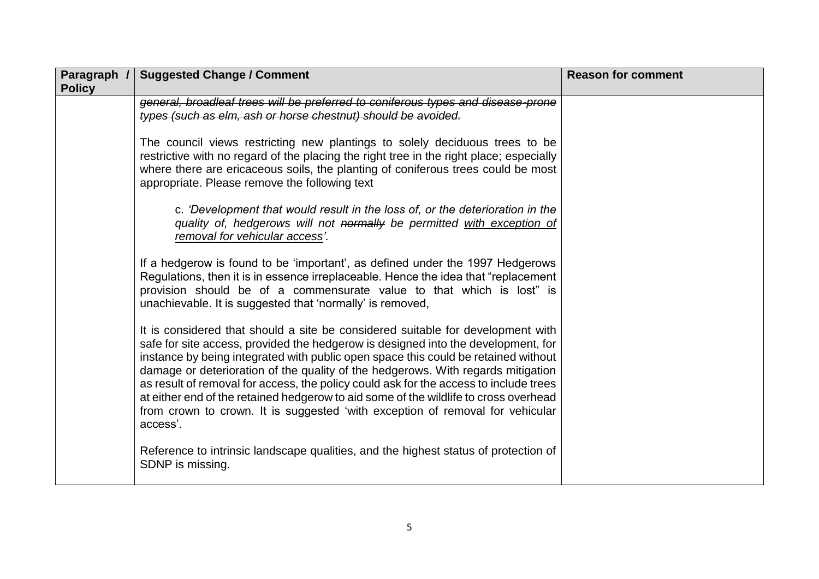| Paragraph /<br><b>Policy</b> | <b>Suggested Change / Comment</b>                                                                                                                                                                                                                                                                                                                                                                                                                                                                                                                                                                                            | <b>Reason for comment</b> |
|------------------------------|------------------------------------------------------------------------------------------------------------------------------------------------------------------------------------------------------------------------------------------------------------------------------------------------------------------------------------------------------------------------------------------------------------------------------------------------------------------------------------------------------------------------------------------------------------------------------------------------------------------------------|---------------------------|
|                              | general, broadleaf trees will be preferred to coniferous types and disease-prone<br>types (such as elm, ash or horse chestnut) should be avoided.                                                                                                                                                                                                                                                                                                                                                                                                                                                                            |                           |
|                              | The council views restricting new plantings to solely deciduous trees to be<br>restrictive with no regard of the placing the right tree in the right place; especially<br>where there are ericaceous soils, the planting of coniferous trees could be most<br>appropriate. Please remove the following text                                                                                                                                                                                                                                                                                                                  |                           |
|                              | c. 'Development that would result in the loss of, or the deterioration in the<br>quality of, hedgerows will not normally be permitted with exception of<br>removal for vehicular access'.                                                                                                                                                                                                                                                                                                                                                                                                                                    |                           |
|                              | If a hedgerow is found to be 'important', as defined under the 1997 Hedgerows<br>Regulations, then it is in essence irreplaceable. Hence the idea that "replacement"<br>provision should be of a commensurate value to that which is lost" is<br>unachievable. It is suggested that 'normally' is removed,                                                                                                                                                                                                                                                                                                                   |                           |
|                              | It is considered that should a site be considered suitable for development with<br>safe for site access, provided the hedgerow is designed into the development, for<br>instance by being integrated with public open space this could be retained without<br>damage or deterioration of the quality of the hedgerows. With regards mitigation<br>as result of removal for access, the policy could ask for the access to include trees<br>at either end of the retained hedgerow to aid some of the wildlife to cross overhead<br>from crown to crown. It is suggested 'with exception of removal for vehicular<br>access'. |                           |
|                              | Reference to intrinsic landscape qualities, and the highest status of protection of<br>SDNP is missing.                                                                                                                                                                                                                                                                                                                                                                                                                                                                                                                      |                           |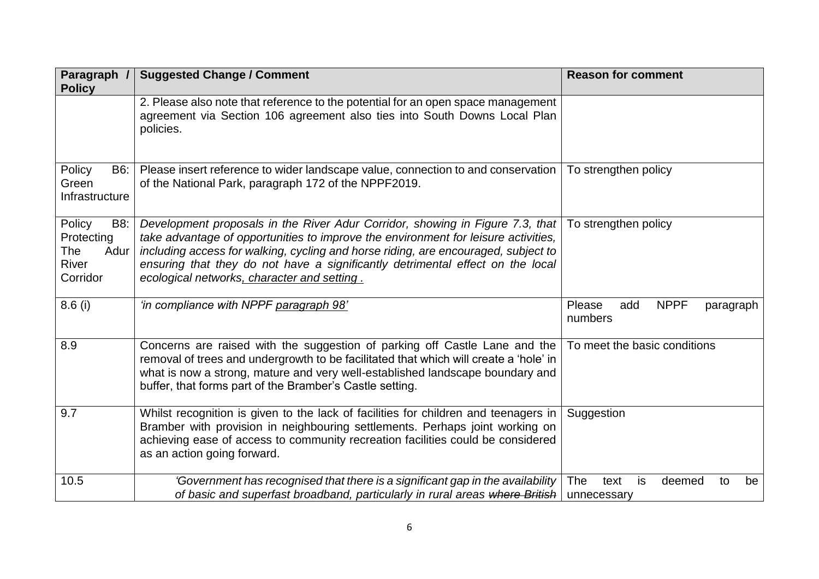| Paragraph /<br><b>Policy</b>                                    | <b>Suggested Change / Comment</b>                                                                                                                                                                                                                                                                                                                                                          | <b>Reason for comment</b>                                     |
|-----------------------------------------------------------------|--------------------------------------------------------------------------------------------------------------------------------------------------------------------------------------------------------------------------------------------------------------------------------------------------------------------------------------------------------------------------------------------|---------------------------------------------------------------|
|                                                                 | 2. Please also note that reference to the potential for an open space management<br>agreement via Section 106 agreement also ties into South Downs Local Plan<br>policies.                                                                                                                                                                                                                 |                                                               |
| Policy<br><b>B6:</b><br>Green<br>Infrastructure                 | Please insert reference to wider landscape value, connection to and conservation<br>of the National Park, paragraph 172 of the NPPF2019.                                                                                                                                                                                                                                                   | To strengthen policy                                          |
| Policy<br>B8:<br>Protecting<br>The<br>Adur<br>River<br>Corridor | Development proposals in the River Adur Corridor, showing in Figure 7.3, that<br>take advantage of opportunities to improve the environment for leisure activities,<br>including access for walking, cycling and horse riding, are encouraged, subject to<br>ensuring that they do not have a significantly detrimental effect on the local<br>ecological networks, character and setting. | To strengthen policy                                          |
| 8.6(i)                                                          | 'in compliance with NPPF paragraph 98'                                                                                                                                                                                                                                                                                                                                                     | <b>NPPF</b><br>Please<br>add<br>paragraph<br>numbers          |
| 8.9                                                             | Concerns are raised with the suggestion of parking off Castle Lane and the<br>removal of trees and undergrowth to be facilitated that which will create a 'hole' in<br>what is now a strong, mature and very well-established landscape boundary and<br>buffer, that forms part of the Bramber's Castle setting.                                                                           | To meet the basic conditions                                  |
| 9.7                                                             | Whilst recognition is given to the lack of facilities for children and teenagers in<br>Bramber with provision in neighbouring settlements. Perhaps joint working on<br>achieving ease of access to community recreation facilities could be considered<br>as an action going forward.                                                                                                      | Suggestion                                                    |
| 10.5                                                            | 'Government has recognised that there is a significant gap in the availability<br>of basic and superfast broadband, particularly in rural areas where British                                                                                                                                                                                                                              | <b>The</b><br>is<br>text<br>deemed<br>be<br>to<br>unnecessary |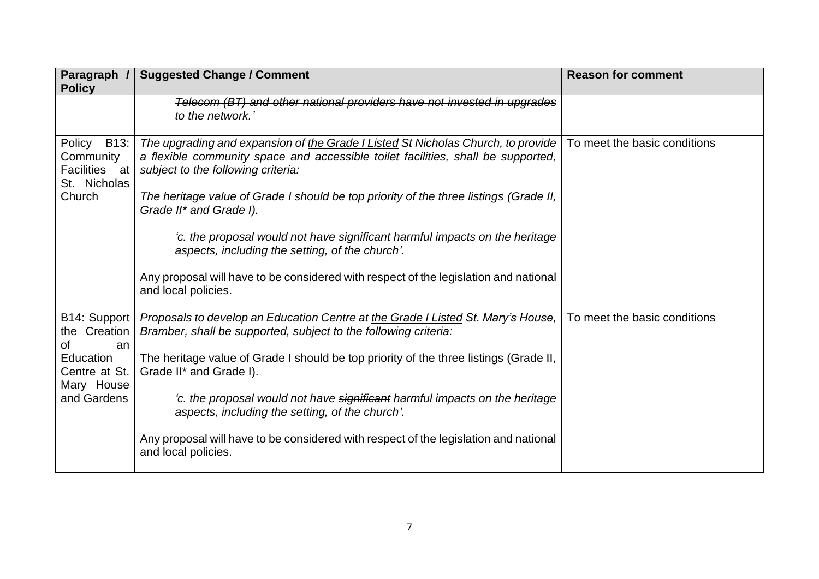| Paragraph /<br><b>Policy</b>                                    | <b>Suggested Change / Comment</b>                                                                                                                                                                          | <b>Reason for comment</b>    |
|-----------------------------------------------------------------|------------------------------------------------------------------------------------------------------------------------------------------------------------------------------------------------------------|------------------------------|
|                                                                 | Telecom (BT) and other national providers have not invested in upgrades<br>to the network.'                                                                                                                |                              |
| B13:<br>Policy<br>Community<br>Facilities<br>at<br>St. Nicholas | The upgrading and expansion of the Grade I Listed St Nicholas Church, to provide<br>a flexible community space and accessible toilet facilities, shall be supported,<br>subject to the following criteria: | To meet the basic conditions |
| Church                                                          | The heritage value of Grade I should be top priority of the three listings (Grade II,<br>Grade II* and Grade I).                                                                                           |                              |
|                                                                 | 'c. the proposal would not have significant harmful impacts on the heritage<br>aspects, including the setting, of the church'.                                                                             |                              |
|                                                                 | Any proposal will have to be considered with respect of the legislation and national<br>and local policies.                                                                                                |                              |
| B14: Support<br>the Creation<br>0f<br>an                        | Proposals to develop an Education Centre at the Grade I Listed St. Mary's House,<br>Bramber, shall be supported, subject to the following criteria:                                                        | To meet the basic conditions |
| <b>Education</b><br>Centre at St.<br>Mary House                 | The heritage value of Grade I should be top priority of the three listings (Grade II,<br>Grade II* and Grade I).                                                                                           |                              |
| and Gardens                                                     | 'c. the proposal would not have significant harmful impacts on the heritage<br>aspects, including the setting, of the church'.                                                                             |                              |
|                                                                 | Any proposal will have to be considered with respect of the legislation and national<br>and local policies.                                                                                                |                              |